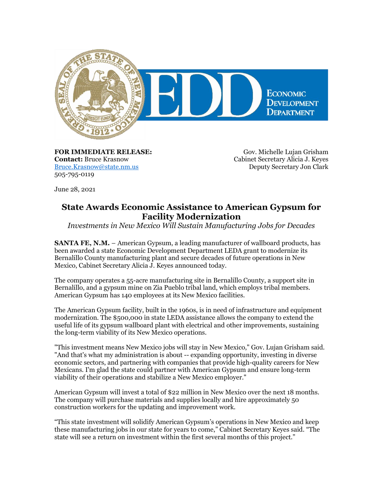

**FOR IMMEDIATE RELEASE: Contact:** Bruce Krasnow [Bruce.Krasnow@state.nm.us](mailto:Bruce.Krasnow@state.nm.us) 505-795-0119

Gov. Michelle Lujan Grisham Cabinet Secretary Alicia J. Keyes Deputy Secretary Jon Clark

June 28, 2021

## **State Awards Economic Assistance to American Gypsum for Facility Modernization**

*Investments in New Mexico Will Sustain Manufacturing Jobs for Decades*

**SANTA FE, N.M.** – American Gypsum, a leading manufacturer of wallboard products, has been awarded a state Economic Development Department LEDA grant to modernize its Bernalillo County manufacturing plant and secure decades of future operations in New Mexico, Cabinet Secretary Alicia J. Keyes announced today.

The company operates a 55-acre manufacturing site in Bernalillo County, a support site in Bernalillo, and a gypsum mine on Zia Pueblo tribal land, which employs tribal members. American Gypsum has 140 employees at its New Mexico facilities.

The American Gypsum facility, built in the 1960s, is in need of infrastructure and equipment modernization. The \$500,000 in state LEDA assistance allows the company to extend the useful life of its gypsum wallboard plant with electrical and other improvements, sustaining the long-term viability of its New Mexico operations.

"This investment means New Mexico jobs will stay in New Mexico," Gov. Lujan Grisham said. "And that's what my administration is about -- expanding opportunity, investing in diverse economic sectors, and partnering with companies that provide high-quality careers for New Mexicans. I'm glad the state could partner with American Gypsum and ensure long-term viability of their operations and stabilize a New Mexico employer."

American Gypsum will invest a total of \$22 million in New Mexico over the next 18 months. The company will purchase materials and supplies locally and hire approximately 50 construction workers for the updating and improvement work.

"This state investment will solidify American Gypsum's operations in New Mexico and keep these manufacturing jobs in our state for years to come," Cabinet Secretary Keyes said. "The state will see a return on investment within the first several months of this project."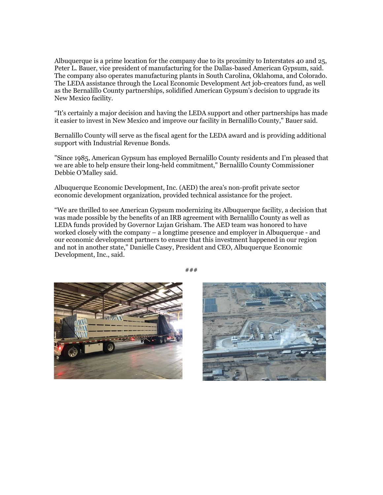Albuquerque is a prime location for the company due to its proximity to Interstates 40 and 25, Peter L. Bauer, vice president of manufacturing for the Dallas-based American Gypsum, said. The company also operates manufacturing plants in South Carolina, Oklahoma, and Colorado. The LEDA assistance through the Local Economic Development Act job-creators fund, as well as the Bernalillo County partnerships, solidified American Gypsum's decision to upgrade its New Mexico facility.

"It's certainly a major decision and having the LEDA support and other partnerships has made it easier to invest in New Mexico and improve our facility in Bernalillo County," Bauer said.

Bernalillo County will serve as the fiscal agent for the LEDA award and is providing additional support with Industrial Revenue Bonds.

"Since 1985, American Gypsum has employed Bernalillo County residents and I'm pleased that we are able to help ensure their long-held commitment," Bernalillo County Commissioner Debbie O'Malley said.

Albuquerque Economic Development, Inc. (AED) the area's non-profit private sector economic development organization, provided technical assistance for the project.

"We are thrilled to see American Gypsum modernizing its Albuquerque facility, a decision that was made possible by the benefits of an IRB agreement with Bernalillo County as well as LEDA funds provided by Governor Lujan Grisham. The AED team was honored to have worked closely with the company – a longtime presence and employer in Albuquerque - and our economic development partners to ensure that this investment happened in our region and not in another state," Danielle Casey, President and CEO, Albuquerque Economic Development, Inc., said.





###